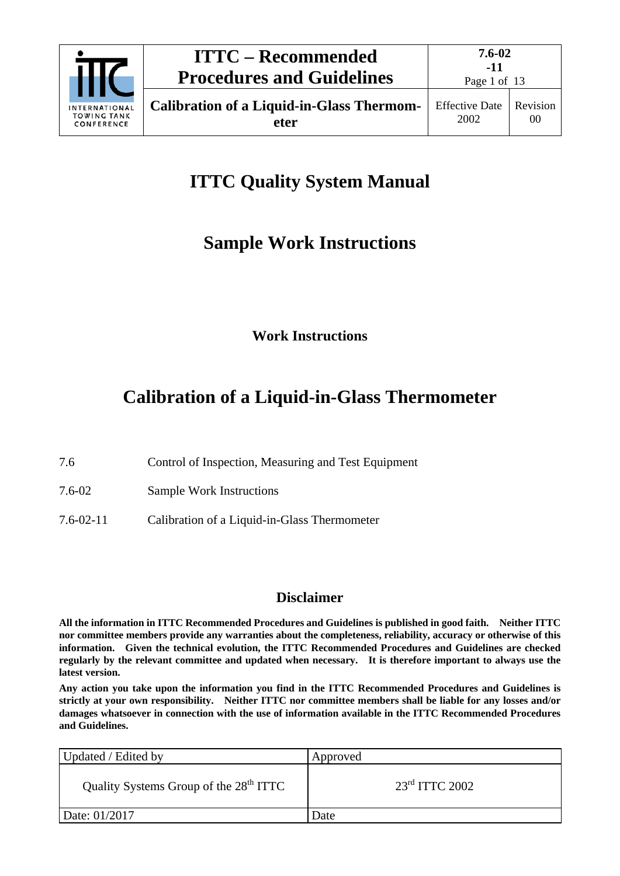

# **ITTC Quality System Manual**

## **Sample Work Instructions**

## **Work Instructions**

# **Calibration of a Liquid-in-Glass Thermometer**

- 7.6 Control of Inspection, Measuring and Test Equipment
- 7.6-02 Sample Work Instructions
- 7.6-02-11 Calibration of a Liquid-in-Glass Thermometer

## **Disclaimer**

**All the information in ITTC Recommended Procedures and Guidelines is published in good faith. Neither ITTC nor committee members provide any warranties about the completeness, reliability, accuracy or otherwise of this information. Given the technical evolution, the ITTC Recommended Procedures and Guidelines are checked regularly by the relevant committee and updated when necessary. It is therefore important to always use the latest version.**

**Any action you take upon the information you find in the ITTC Recommended Procedures and Guidelines is strictly at your own responsibility. Neither ITTC nor committee members shall be liable for any losses and/or damages whatsoever in connection with the use of information available in the ITTC Recommended Procedures and Guidelines.**

| Updated / Edited by                                | Approved         |
|----------------------------------------------------|------------------|
| Quality Systems Group of the 28 <sup>th</sup> ITTC | $23rd$ ITTC 2002 |
| Date: 01/2017                                      | Date             |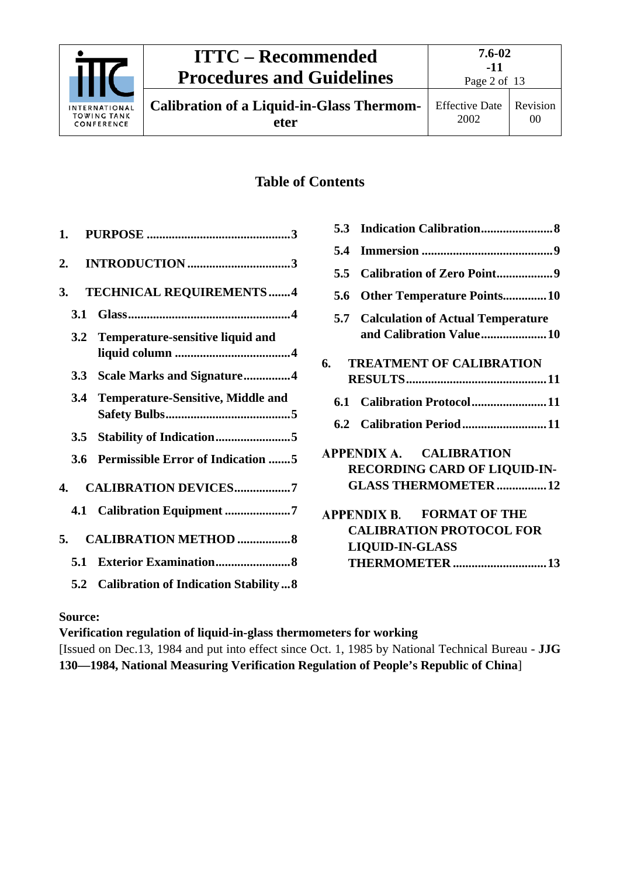

**Calibration of a Liquid-in-Glass Thermometer**

00

## **Table of Contents**

|     | 3. TECHNICAL REQUIREMENTS4               |
|-----|------------------------------------------|
| 3.1 |                                          |
|     | 3.2 Temperature-sensitive liquid and     |
|     | 3.3 Scale Marks and Signature4           |
|     | 3.4 Temperature-Sensitive, Middle and    |
|     |                                          |
| 3.6 | <b>Permissible Error of Indication 5</b> |
|     | 4. CALIBRATION DEVICES7                  |
|     | 4.1 Calibration Equipment 7              |
|     | 5. CALIBRATION METHOD  8                 |
| 5.1 |                                          |
|     | 5.2 Calibration of Indication Stability8 |

| 5.3  |                                                                                                                         |
|------|-------------------------------------------------------------------------------------------------------------------------|
| 5.4  |                                                                                                                         |
| 5.5  |                                                                                                                         |
| 5.6  | <b>Other Temperature Points10</b>                                                                                       |
|      | <b>5.7 Calculation of Actual Temperature</b><br>and Calibration Value10                                                 |
| 6. — | <b>TREATMENT OF CALIBRATION</b>                                                                                         |
| 6.1  | Calibration Protocol11                                                                                                  |
|      | 6.2 Calibration Period11                                                                                                |
|      | APPENDIX A. CALIBRATION<br><b>RECORDING CARD OF LIQUID-IN-</b><br><b>GLASS THERMOMETER12</b>                            |
|      | <b>APPENDIX B. FORMAT OF THE</b><br><b>CALIBRATION PROTOCOL FOR</b><br><b>LIQUID-IN-GLASS</b><br><b>THERMOMETER  13</b> |
|      |                                                                                                                         |

### **Source:**

**Verification regulation of liquid-in-glass thermometers for working** [Issued on Dec.13, 1984 and put into effect since Oct. 1, 1985 by National Technical Bureau - **JJG 130—1984, National Measuring Verification Regulation of People's Republic of China**]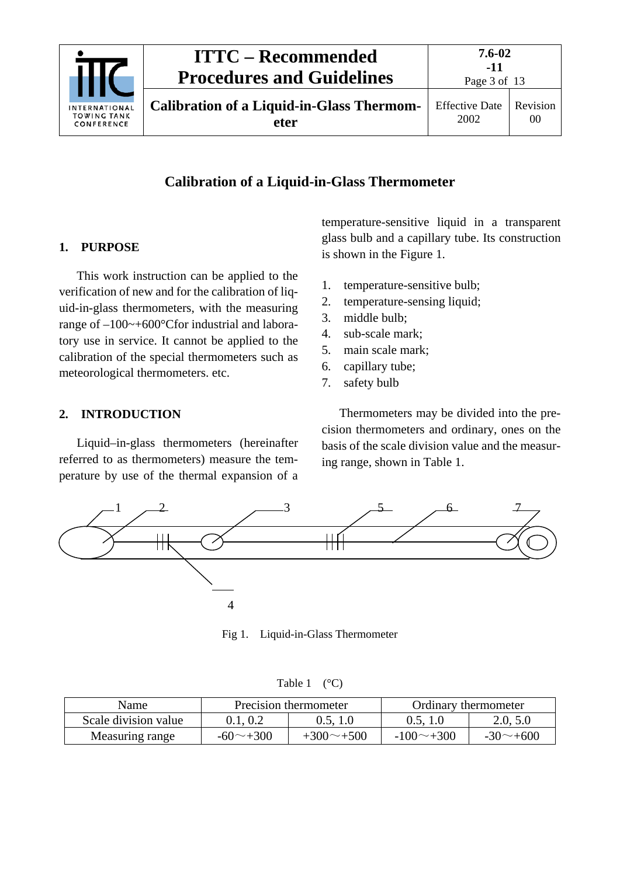

### **Calibration of a Liquid-in-Glass Thermometer**

#### <span id="page-2-0"></span>**1. PURPOSE**

This work instruction can be applied to the verification of new and for the calibration of liquid-in-glass thermometers, with the measuring range of –100~+600°Cfor industrial and laboratory use in service. It cannot be applied to the calibration of the special thermometers such as meteorological thermometers. etc.

#### <span id="page-2-1"></span>**2. INTRODUCTION**

Liquid–in-glass thermometers (hereinafter referred to as thermometers) measure the temperature by use of the thermal expansion of a

temperature-sensitive liquid in a transparent glass bulb and a capillary tube. Its construction is shown in the Figure 1.

- 1. temperature-sensitive bulb;
- 2. temperature-sensing liquid;
- 3. middle bulb;
- 4. sub-scale mark;
- 5. main scale mark;
- 6. capillary tube;
- 7. safety bulb

Thermometers may be divided into the precision thermometers and ordinary, ones on the basis of the scale division value and the measuring range, shown in Table 1.



Fig 1. Liquid-in-Glass Thermometer

| Table 1 | $({}^{\circ}C)$ |
|---------|-----------------|
|---------|-----------------|

| Name                 |                     | Precision thermometer | Ordinary thermometer |                     |  |  |
|----------------------|---------------------|-----------------------|----------------------|---------------------|--|--|
| Scale division value | 0.1.0.2<br>0.5, 1.0 |                       | 0.5, 1.0             | 2.0, 5.0            |  |  |
| Measuring range      | $-60$ $-+300$       | $+300 \sim +500$      | $-100 \sim +300$     | $-30$ $\sim$ $+600$ |  |  |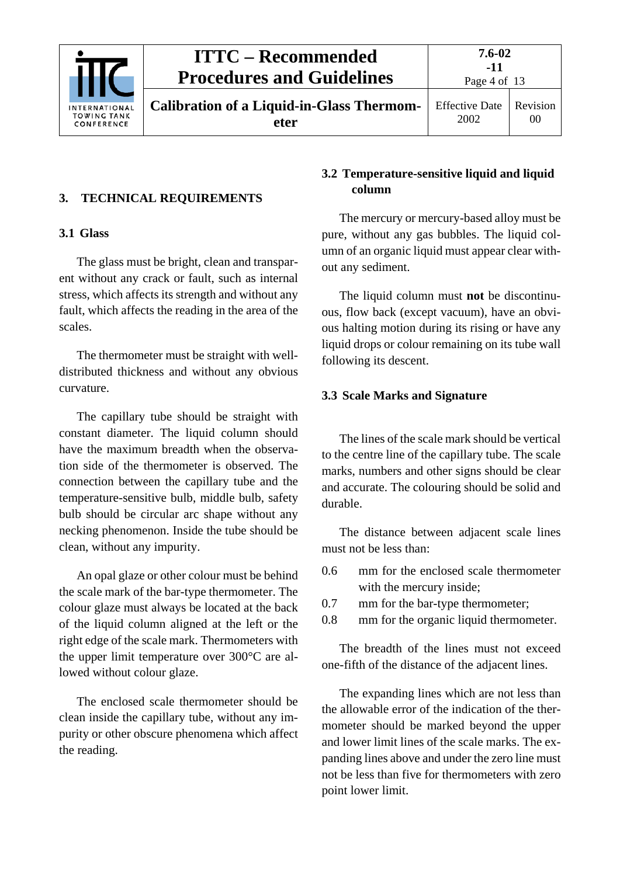

## **ITTC – Recommended Procedures and Guidelines**

### <span id="page-3-1"></span><span id="page-3-0"></span>**3. TECHNICAL REQUIREMENTS**

#### **3.1 Glass**

The glass must be bright, clean and transparent without any crack or fault, such as internal stress, which affects its strength and without any fault, which affects the reading in the area of the scales.

The thermometer must be straight with welldistributed thickness and without any obvious curvature.

The capillary tube should be straight with constant diameter. The liquid column should have the maximum breadth when the observation side of the thermometer is observed. The connection between the capillary tube and the temperature-sensitive bulb, middle bulb, safety bulb should be circular arc shape without any necking phenomenon. Inside the tube should be clean, without any impurity.

An opal glaze or other colour must be behind the scale mark of the bar-type thermometer. The colour glaze must always be located at the back of the liquid column aligned at the left or the right edge of the scale mark. Thermometers with the upper limit temperature over 300°C are allowed without colour glaze.

The enclosed scale thermometer should be clean inside the capillary tube, without any impurity or other obscure phenomena which affect the reading.

#### <span id="page-3-2"></span>**3.2 Temperature-sensitive liquid and liquid column**

The mercury or mercury-based alloy must be pure, without any gas bubbles. The liquid column of an organic liquid must appear clear without any sediment.

The liquid column must **not** be discontinuous, flow back (except vacuum), have an obvious halting motion during its rising or have any liquid drops or colour remaining on its tube wall following its descent.

#### <span id="page-3-3"></span>**3.3 Scale Marks and Signature**

The lines of the scale mark should be vertical to the centre line of the capillary tube. The scale marks, numbers and other signs should be clear and accurate. The colouring should be solid and durable.

The distance between adjacent scale lines must not be less than:

- 0.6 mm for the enclosed scale thermometer with the mercury inside;
- 0.7 mm for the bar-type thermometer;
- 0.8 mm for the organic liquid thermometer.

The breadth of the lines must not exceed one-fifth of the distance of the adjacent lines.

The expanding lines which are not less than the allowable error of the indication of the thermometer should be marked beyond the upper and lower limit lines of the scale marks. The expanding lines above and under the zero line must not be less than five for thermometers with zero point lower limit.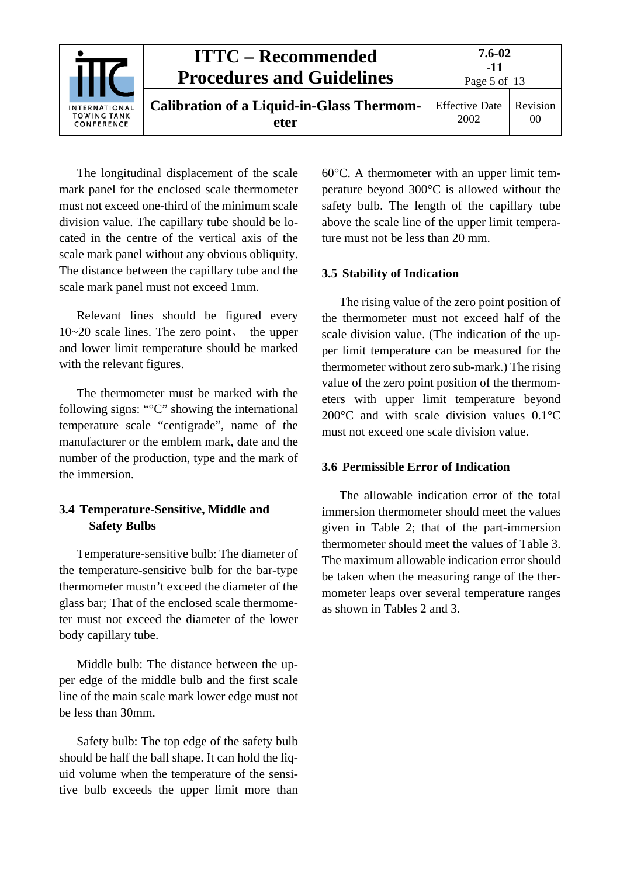

The longitudinal displacement of the scale mark panel for the enclosed scale thermometer must not exceed one-third of the minimum scale division value. The capillary tube should be located in the centre of the vertical axis of the scale mark panel without any obvious obliquity. The distance between the capillary tube and the scale mark panel must not exceed 1mm.

Relevant lines should be figured every 10~20 scale lines. The zero point, the upper and lower limit temperature should be marked with the relevant figures.

The thermometer must be marked with the following signs: "°C" showing the international temperature scale "centigrade", name of the manufacturer or the emblem mark, date and the number of the production, type and the mark of the immersion.

#### <span id="page-4-0"></span>**3.4 Temperature-Sensitive, Middle and Safety Bulbs**

Temperature-sensitive bulb: The diameter of the temperature-sensitive bulb for the bar-type thermometer mustn't exceed the diameter of the glass bar; That of the enclosed scale thermometer must not exceed the diameter of the lower body capillary tube.

Middle bulb: The distance between the upper edge of the middle bulb and the first scale line of the main scale mark lower edge must not be less than 30mm.

Safety bulb: The top edge of the safety bulb should be half the ball shape. It can hold the liquid volume when the temperature of the sensitive bulb exceeds the upper limit more than 60°C. A thermometer with an upper limit temperature beyond 300°C is allowed without the safety bulb. The length of the capillary tube above the scale line of the upper limit temperature must not be less than 20 mm.

#### <span id="page-4-1"></span>**3.5 Stability of Indication**

The rising value of the zero point position of the thermometer must not exceed half of the scale division value. (The indication of the upper limit temperature can be measured for the thermometer without zero sub-mark.) The rising value of the zero point position of the thermometers with upper limit temperature beyond 200°C and with scale division values 0.1°C must not exceed one scale division value.

#### <span id="page-4-2"></span>**3.6 Permissible Error of Indication**

The allowable indication error of the total immersion thermometer should meet the values given in Table 2; that of the part-immersion thermometer should meet the values of Table 3. The maximum allowable indication error should be taken when the measuring range of the thermometer leaps over several temperature ranges as shown in Tables 2 and 3.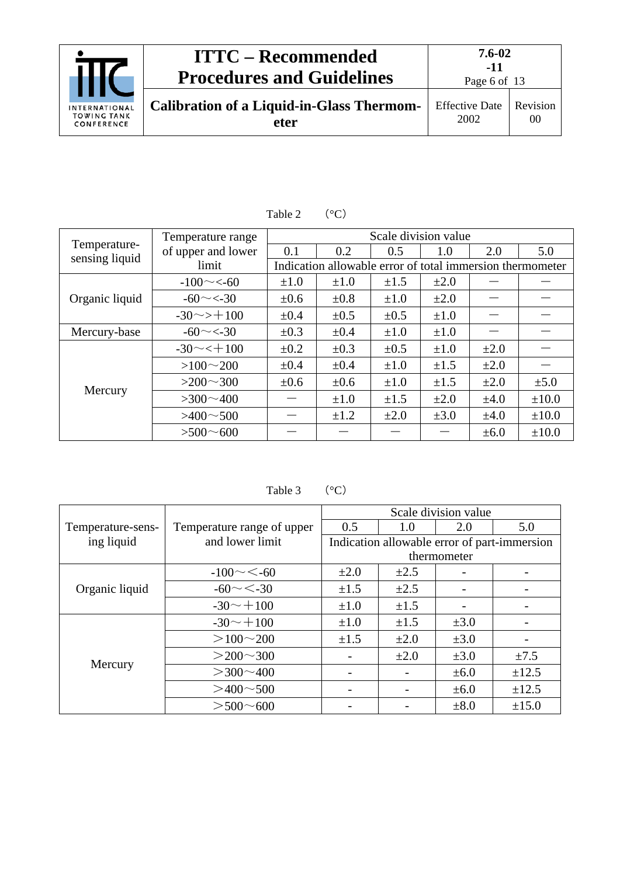|                                                          | <b>ITTC – Recommended</b><br><b>Procedures and Guidelines</b> | 7.6-02<br>-11<br>Page 6 of 13 |                |
|----------------------------------------------------------|---------------------------------------------------------------|-------------------------------|----------------|
| <b>INTERNATIONAL</b><br><b>TOWING TANK</b><br>CONFERENCE | <b>Calibration of a Liquid-in-Glass Thermom-</b><br>eter      | <b>Effective Date</b><br>2002 | Revision<br>00 |

|                | Temperature range      |           |                                                           | Scale division value |           |           |            |  |
|----------------|------------------------|-----------|-----------------------------------------------------------|----------------------|-----------|-----------|------------|--|
| Temperature-   | of upper and lower     | 0.1       | 0.2                                                       | 0.5                  | 1.0       | 2.0       | 5.0        |  |
| sensing liquid | limit                  |           | Indication allowable error of total immersion thermometer |                      |           |           |            |  |
|                | $-100 \sim 50$         | $\pm 1.0$ | $\pm 1.0$                                                 | $\pm 1.5$            | $\pm 2.0$ |           |            |  |
| Organic liquid | $-60 \sim 30$          | $\pm 0.6$ | $\pm 0.8$                                                 | $\pm 1.0$            | $\pm 2.0$ |           |            |  |
|                | $-30 \rightarrow +100$ | $\pm 0.4$ | $\pm 0.5$                                                 | $\pm 0.5$            | $\pm 1.0$ |           |            |  |
| Mercury-base   | $-60 \sim 30$          | $\pm 0.3$ | $\pm 0.4$                                                 | $\pm 1.0$            | $\pm 1.0$ |           |            |  |
|                | $-30 \sim t + 100$     | $\pm 0.2$ | $\pm 0.3$                                                 | $\pm 0.5$            | $\pm 1.0$ | $\pm 2.0$ |            |  |
|                | $>100 \sim 200$        | $\pm 0.4$ | $\pm 0.4$                                                 | $\pm 1.0$            | $\pm 1.5$ | $\pm 2.0$ |            |  |
|                | $>200 \sim 300$        | $\pm 0.6$ | $\pm 0.6$                                                 | $\pm 1.0$            | $\pm 1.5$ | $\pm 2.0$ | $\pm 5.0$  |  |
| Mercury        | $>300 \sim 400$        |           | $\pm 1.0$                                                 | $\pm 1.5$            | $\pm 2.0$ | $\pm 4.0$ | $\pm 10.0$ |  |
|                | $>400 \sim 500$        |           | $\pm 1.2$                                                 | $\pm 2.0$            | $\pm 3.0$ | $\pm 4.0$ | $\pm 10.0$ |  |
|                | $> 500 - 600$          |           |                                                           |                      |           | $\pm 6.0$ | $\pm 10.0$ |  |

Table 2  $(^{\circ}C)$ 

Table 3  $(^{\circ}C)$ 

|                   |                            | Scale division value |           |             |                                              |  |  |
|-------------------|----------------------------|----------------------|-----------|-------------|----------------------------------------------|--|--|
| Temperature-sens- | Temperature range of upper | 0.5                  | 1.0       | 2.0         | 5.0                                          |  |  |
| ing liquid        | and lower limit            |                      |           |             | Indication allowable error of part-immersion |  |  |
|                   |                            |                      |           | thermometer |                                              |  |  |
|                   | $-100 \sim < 60$           | $\pm 2.0$            | $\pm 2.5$ |             |                                              |  |  |
| Organic liquid    | $-60 \sim < -30$           | $\pm 1.5$            | $\pm 2.5$ |             |                                              |  |  |
|                   | $-30 \sim +100$            | $\pm 1.0$            | $\pm 1.5$ |             |                                              |  |  |
|                   | $-30 \sim +100$            | $\pm 1.0$            | $\pm 1.5$ | $\pm 3.0$   |                                              |  |  |
|                   | $>100 \sim 200$            | $\pm 1.5$            | $\pm 2.0$ | $\pm 3.0$   |                                              |  |  |
| Mercury           | $>200 \sim 300$            |                      | $\pm 2.0$ | $\pm 3.0$   | $\pm 7.5$                                    |  |  |
|                   | $>$ 300 $\sim$ 400         |                      |           | $\pm 6.0$   | $\pm 12.5$                                   |  |  |
|                   | $>400 \sim 500$            |                      |           | $\pm 6.0$   | $\pm 12.5$                                   |  |  |
|                   | $>$ 500 $\sim$ 600         |                      |           | $\pm 8.0$   | $\pm 15.0$                                   |  |  |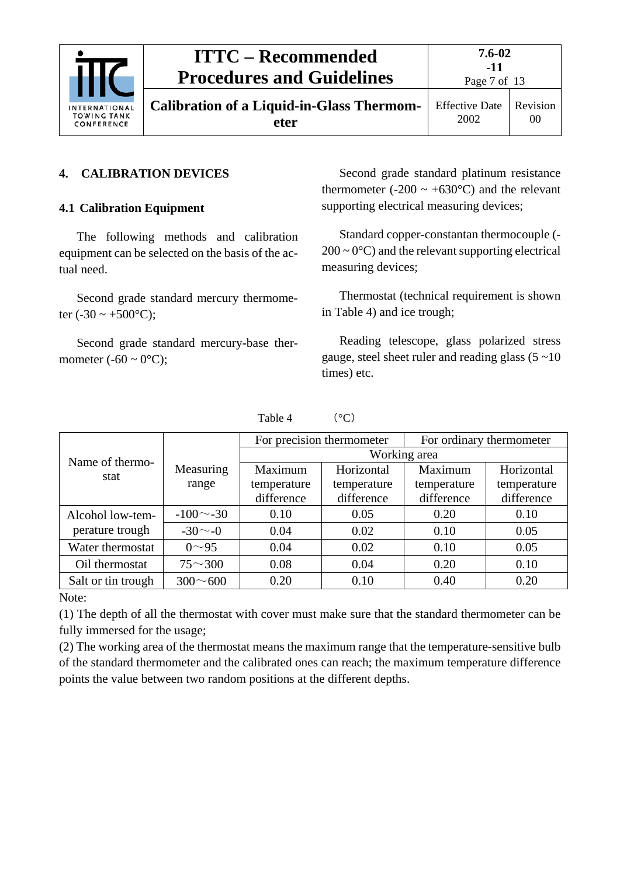

**Calibration of a Liquid-in-Glass Thermometer**

Page 7 of 13

#### <span id="page-6-1"></span><span id="page-6-0"></span>**4. CALIBRATION DEVICES**

#### **4.1 Calibration Equipment**

The following methods and calibration equipment can be selected on the basis of the actual need.

Second grade standard mercury thermometer (-30  $\sim$  +500 $^{\circ}$ C);

Second grade standard mercury-base thermometer  $(-60 \sim 0^{\circ}C)$ ;

Second grade standard platinum resistance thermometer (-200  $\sim$  +630 $^{\circ}$ C) and the relevant supporting electrical measuring devices;

Standard copper-constantan thermocouple (-  $200 \sim 0^{\circ}$ C) and the relevant supporting electrical measuring devices;

Thermostat (technical requirement is shown in Table 4) and ice trough;

Reading telescope, glass polarized stress gauge, steel sheet ruler and reading glass  $(5 \sim 10)$ times) etc.

|                    |                 |              | For precision thermometer | For ordinary thermometer |             |  |  |  |
|--------------------|-----------------|--------------|---------------------------|--------------------------|-------------|--|--|--|
| Name of thermo-    |                 | Working area |                           |                          |             |  |  |  |
| stat               | Measuring       | Maximum      | Horizontal                | Maximum                  | Horizontal  |  |  |  |
|                    | range           | temperature  | temperature               | temperature              | temperature |  |  |  |
|                    |                 | difference   | difference                | difference               | difference  |  |  |  |
| Alcohol low-tem-   | $-100$ $-30$    | 0.10         | 0.05                      | 0.20                     | 0.10        |  |  |  |
| perature trough    | $-30$ $\sim$ -0 | 0.04         | 0.02                      | 0.10                     | 0.05        |  |  |  |
| Water thermostat   | $0^{\sim}95$    | 0.04         | 0.02                      | 0.10                     | 0.05        |  |  |  |
| Oil thermostat     | $75^{\sim}300$  | 0.08         | 0.04                      | 0.20                     | 0.10        |  |  |  |
| Salt or tin trough | $300 \sim 600$  | 0.20         | 0.10                      | 0.40                     | 0.20        |  |  |  |

Table 4  $(°C)$ 

### Note:

(1) The depth of all the thermostat with cover must make sure that the standard thermometer can be fully immersed for the usage;

(2) The working area of the thermostat means the maximum range that the temperature-sensitive bulb of the standard thermometer and the calibrated ones can reach; the maximum temperature difference points the value between two random positions at the different depths.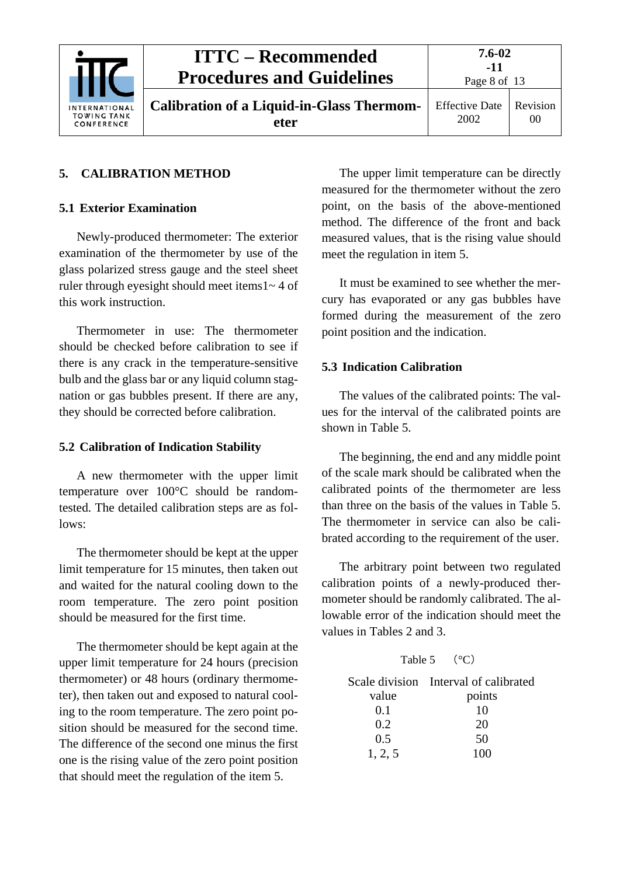

#### <span id="page-7-1"></span><span id="page-7-0"></span>**5. CALIBRATION METHOD**

#### **5.1 Exterior Examination**

Newly-produced thermometer: The exterior examination of the thermometer by use of the glass polarized stress gauge and the steel sheet ruler through eyesight should meet items1~ 4 of this work instruction.

Thermometer in use: The thermometer should be checked before calibration to see if there is any crack in the temperature-sensitive bulb and the glass bar or any liquid column stagnation or gas bubbles present. If there are any, they should be corrected before calibration.

#### <span id="page-7-2"></span>**5.2 Calibration of Indication Stability**

A new thermometer with the upper limit temperature over 100°C should be randomtested. The detailed calibration steps are as follows:

The thermometer should be kept at the upper limit temperature for 15 minutes, then taken out and waited for the natural cooling down to the room temperature. The zero point position should be measured for the first time.

The thermometer should be kept again at the upper limit temperature for 24 hours (precision thermometer) or 48 hours (ordinary thermometer), then taken out and exposed to natural cooling to the room temperature. The zero point position should be measured for the second time. The difference of the second one minus the first one is the rising value of the zero point position that should meet the regulation of the item 5.

The upper limit temperature can be directly measured for the thermometer without the zero point, on the basis of the above-mentioned method. The difference of the front and back measured values, that is the rising value should meet the regulation in item 5.

It must be examined to see whether the mercury has evaporated or any gas bubbles have formed during the measurement of the zero point position and the indication.

#### <span id="page-7-3"></span>**5.3 Indication Calibration**

The values of the calibrated points: The values for the interval of the calibrated points are shown in Table 5.

The beginning, the end and any middle point of the scale mark should be calibrated when the calibrated points of the thermometer are less than three on the basis of the values in Table 5. The thermometer in service can also be calibrated according to the requirement of the user.

The arbitrary point between two regulated calibration points of a newly-produced thermometer should be randomly calibrated. The allowable error of the indication should meet the values in Tables 2 and 3.

### Table 5  $(°C)$

|         | Scale division Interval of calibrated |
|---------|---------------------------------------|
| value   | points                                |
| 0.1     | 10                                    |
| 0.2     | 20                                    |
| 0.5     | 50                                    |
| 1, 2, 5 | 100                                   |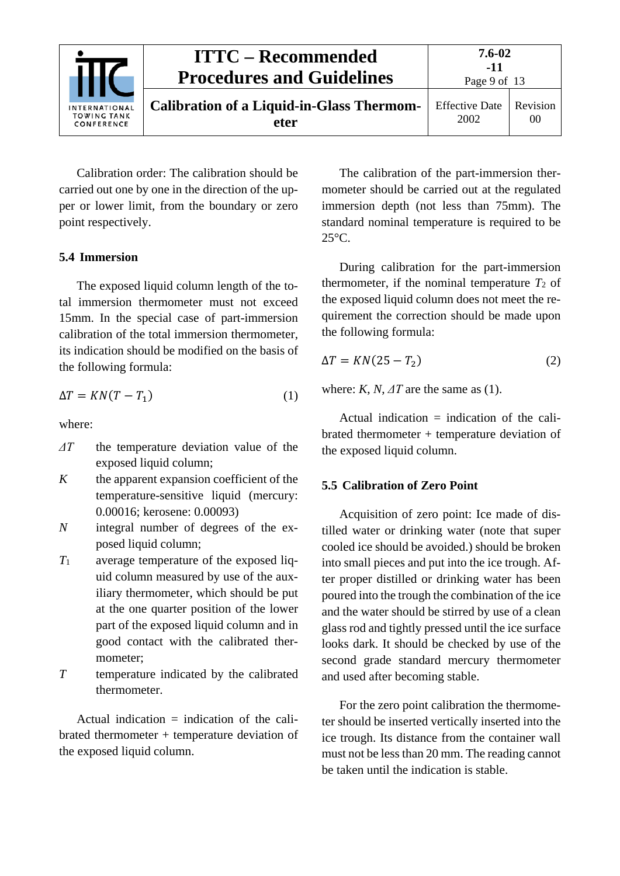

Calibration order: The calibration should be carried out one by one in the direction of the upper or lower limit, from the boundary or zero point respectively.

#### <span id="page-8-0"></span>**5.4 Immersion**

The exposed liquid column length of the total immersion thermometer must not exceed 15mm. In the special case of part-immersion calibration of the total immersion thermometer, its indication should be modified on the basis of the following formula:

$$
\Delta T = KN(T - T_1) \tag{1}
$$

where:

- *ΔT* the temperature deviation value of the exposed liquid column;
- *K* the apparent expansion coefficient of the temperature-sensitive liquid (mercury: 0.00016; kerosene: 0.00093)
- *N* integral number of degrees of the exposed liquid column;
- *T*<sup>1</sup> average temperature of the exposed liquid column measured by use of the auxiliary thermometer, which should be put at the one quarter position of the lower part of the exposed liquid column and in good contact with the calibrated thermometer;
- *T* temperature indicated by the calibrated thermometer.

Actual indication  $=$  indication of the calibrated thermometer + temperature deviation of the exposed liquid column.

The calibration of the part-immersion thermometer should be carried out at the regulated immersion depth (not less than 75mm). The standard nominal temperature is required to be 25°C.

During calibration for the part-immersion thermometer, if the nominal temperature  $T_2$  of the exposed liquid column does not meet the requirement the correction should be made upon the following formula:

$$
\Delta T = KN(25 - T_2) \tag{2}
$$

where:  $K$ ,  $N$ ,  $\Delta T$  are the same as (1).

Actual indication  $=$  indication of the calibrated thermometer + temperature deviation of the exposed liquid column.

#### <span id="page-8-1"></span>**5.5 Calibration of Zero Point**

Acquisition of zero point: Ice made of distilled water or drinking water (note that super cooled ice should be avoided.) should be broken into small pieces and put into the ice trough. After proper distilled or drinking water has been poured into the trough the combination of the ice and the water should be stirred by use of a clean glass rod and tightly pressed until the ice surface looks dark. It should be checked by use of the second grade standard mercury thermometer and used after becoming stable.

For the zero point calibration the thermometer should be inserted vertically inserted into the ice trough. Its distance from the container wall must not be less than 20 mm. The reading cannot be taken until the indication is stable.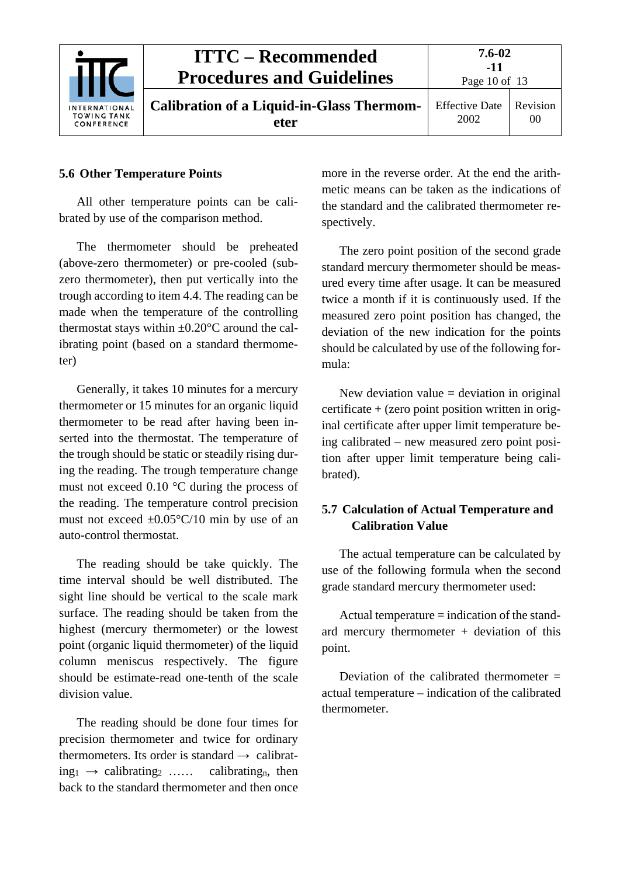

#### <span id="page-9-0"></span>**5.6 Other Temperature Points**

All other temperature points can be calibrated by use of the comparison method.

The thermometer should be preheated (above-zero thermometer) or pre-cooled (subzero thermometer), then put vertically into the trough according to item 4.4. The reading can be made when the temperature of the controlling thermostat stays within  $\pm 0.20^{\circ}$ C around the calibrating point (based on a standard thermometer)

Generally, it takes 10 minutes for a mercury thermometer or 15 minutes for an organic liquid thermometer to be read after having been inserted into the thermostat. The temperature of the trough should be static or steadily rising during the reading. The trough temperature change must not exceed 0.10 °C during the process of the reading. The temperature control precision must not exceed  $\pm 0.05^{\circ}$ C/10 min by use of an auto-control thermostat.

The reading should be take quickly. The time interval should be well distributed. The sight line should be vertical to the scale mark surface. The reading should be taken from the highest (mercury thermometer) or the lowest point (organic liquid thermometer) of the liquid column meniscus respectively. The figure should be estimate-read one-tenth of the scale division value.

The reading should be done four times for precision thermometer and twice for ordinary thermometers. Its order is standard  $\rightarrow$  calibrat $ing_1 \rightarrow calibrating_2 \ldots$  calibrating<sub>n</sub>, then back to the standard thermometer and then once more in the reverse order. At the end the arithmetic means can be taken as the indications of the standard and the calibrated thermometer respectively.

The zero point position of the second grade standard mercury thermometer should be measured every time after usage. It can be measured twice a month if it is continuously used. If the measured zero point position has changed, the deviation of the new indication for the points should be calculated by use of the following formula:

New deviation value  $=$  deviation in original certificate + (zero point position written in original certificate after upper limit temperature being calibrated – new measured zero point position after upper limit temperature being calibrated).

### <span id="page-9-1"></span>**5.7 Calculation of Actual Temperature and Calibration Value**

The actual temperature can be calculated by use of the following formula when the second grade standard mercury thermometer used:

Actual temperature = indication of the standard mercury thermometer  $+$  deviation of this point.

Deviation of the calibrated thermometer  $=$ actual temperature – indication of the calibrated thermometer.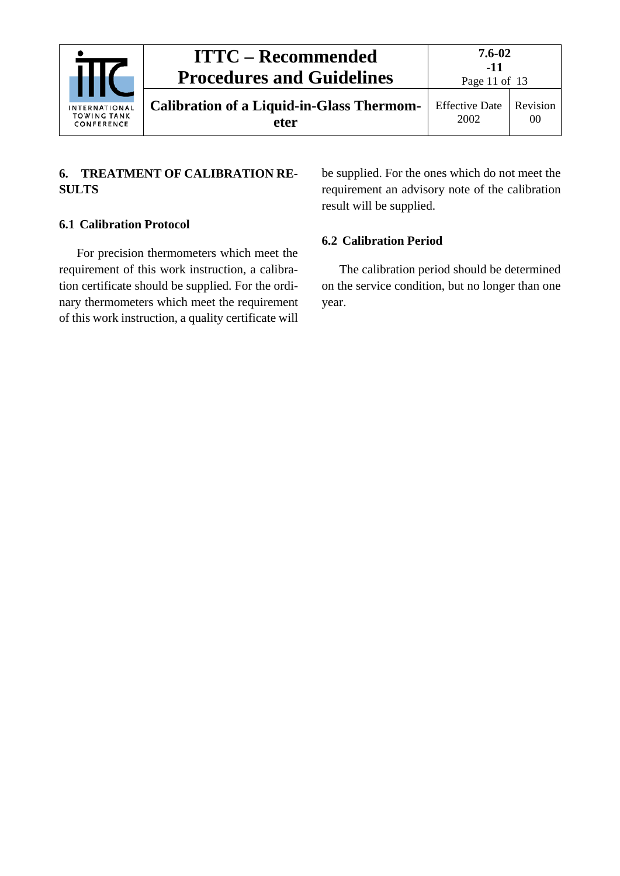|                                                          | <b>ITTC – Recommended</b><br><b>Procedures and Guidelines</b> | 7.6-02<br>$-11$<br>Page 11 of $13$ |                            |
|----------------------------------------------------------|---------------------------------------------------------------|------------------------------------|----------------------------|
| <b>INTERNATIONAL</b><br><b>TOWING TANK</b><br>CONFERENCE | <b>Calibration of a Liquid-in-Glass Thermom-</b><br>eter      | <b>Effective Date</b><br>2002      | Revision<br>0 <sup>0</sup> |

### <span id="page-10-0"></span>**6. TREATMENT OF CALIBRATION RE-SULTS**

#### <span id="page-10-1"></span>**6.1 Calibration Protocol**

For precision thermometers which meet the requirement of this work instruction, a calibration certificate should be supplied. For the ordinary thermometers which meet the requirement of this work instruction, a quality certificate will

be supplied. For the ones which do not meet the requirement an advisory note of the calibration result will be supplied.

#### <span id="page-10-2"></span>**6.2 Calibration Period**

The calibration period should be determined on the service condition, but no longer than one year.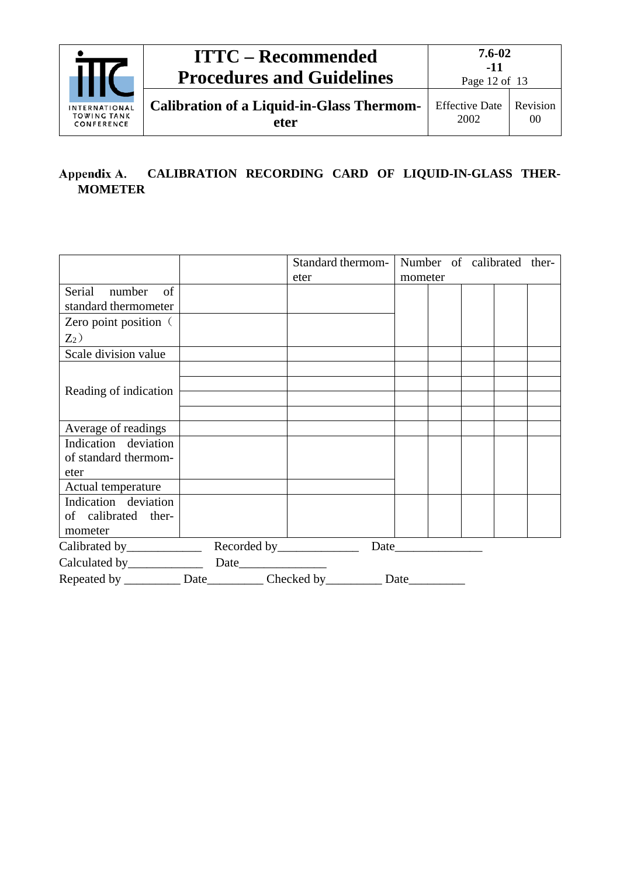

#### <span id="page-11-0"></span>**CALIBRATION RECORDING CARD OF LIQUID-IN-GLASS THER-**Appendix A. **MOMETER**

|                                                                     |  | Standard thermom-   Number of calibrated ther- |         |  |  |
|---------------------------------------------------------------------|--|------------------------------------------------|---------|--|--|
|                                                                     |  | eter                                           | mometer |  |  |
| Serial number<br>of<br>standard thermometer                         |  |                                                |         |  |  |
| Zero point position (                                               |  |                                                |         |  |  |
| $Z_2$ )                                                             |  |                                                |         |  |  |
| Scale division value                                                |  |                                                |         |  |  |
| Reading of indication                                               |  |                                                |         |  |  |
| Average of readings                                                 |  |                                                |         |  |  |
| Indication deviation<br>of standard thermom-<br>eter                |  |                                                |         |  |  |
| Actual temperature                                                  |  |                                                |         |  |  |
| Indication deviation<br>of calibrated ther-<br>mometer              |  |                                                |         |  |  |
|                                                                     |  |                                                |         |  |  |
|                                                                     |  |                                                |         |  |  |
| Repeated by ___________ Date___________ Checked by __________ Date_ |  |                                                |         |  |  |